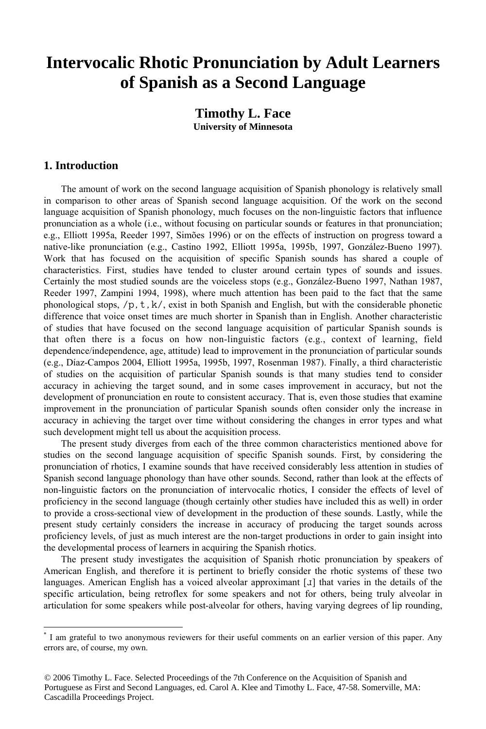# **Intervocalic Rhotic Pronunciation by Adult Learners of Spanish as a Second Language**

# **Timothy L. Face University of Minnesota**

### **1. Introduction**

<u>.</u>

 The amount of work on the second language acquisition of Spanish phonology is relatively small in comparison to other areas of Spanish second language acquisition. Of the work on the second language acquisition of Spanish phonology, much focuses on the non-linguistic factors that influence pronunciation as a whole (i.e., without focusing on particular sounds or features in that pronunciation; e.g., Elliott 1995a, Reeder 1997, Simões 1996) or on the effects of instruction on progress toward a native-like pronunciation (e.g., Castino 1992, Elliott 1995a, 1995b, 1997, González-Bueno 1997). Work that has focused on the acquisition of specific Spanish sounds has shared a couple of characteristics. First, studies have tended to cluster around certain types of sounds and issues. Certainly the most studied sounds are the voiceless stops (e.g., González-Bueno 1997, Nathan 1987, Reeder 1997, Zampini 1994, 1998), where much attention has been paid to the fact that the same phonological stops,  $/p, t, k$ , exist in both Spanish and English, but with the considerable phonetic difference that voice onset times are much shorter in Spanish than in English. Another characteristic of studies that have focused on the second language acquisition of particular Spanish sounds is that often there is a focus on how non-linguistic factors (e.g., context of learning, field dependence/independence, age, attitude) lead to improvement in the pronunciation of particular sounds (e.g., Díaz-Campos 2004, Elliott 1995a, 1995b, 1997, Rosenman 1987). Finally, a third characteristic of studies on the acquisition of particular Spanish sounds is that many studies tend to consider accuracy in achieving the target sound, and in some cases improvement in accuracy, but not the development of pronunciation en route to consistent accuracy. That is, even those studies that examine improvement in the pronunciation of particular Spanish sounds often consider only the increase in accuracy in achieving the target over time without considering the changes in error types and what such development might tell us about the acquisition process.

The present study diverges from each of the three common characteristics mentioned above for studies on the second language acquisition of specific Spanish sounds. First, by considering the pronunciation of rhotics, I examine sounds that have received considerably less attention in studies of Spanish second language phonology than have other sounds. Second, rather than look at the effects of non-linguistic factors on the pronunciation of intervocalic rhotics, I consider the effects of level of proficiency in the second language (though certainly other studies have included this as well) in order to provide a cross-sectional view of development in the production of these sounds. Lastly, while the present study certainly considers the increase in accuracy of producing the target sounds across proficiency levels, of just as much interest are the non-target productions in order to gain insight into the developmental process of learners in acquiring the Spanish rhotics.

 The present study investigates the acquisition of Spanish rhotic pronunciation by speakers of American English, and therefore it is pertinent to briefly consider the rhotic systems of these two languages. American English has a voiced alveolar approximant  $\lceil \mathbf{J} \rceil$  that varies in the details of the specific articulation, being retroflex for some speakers and not for others, being truly alveolar in articulation for some speakers while post-alveolar for others, having varying degrees of lip rounding,

<sup>\*</sup> I am grateful to two anonymous reviewers for their useful comments on an earlier version of this paper. Any errors are, of course, my own.

<sup>© 2006</sup> Timothy L. Face. Selected Proceedings of the 7th Conference on the Acquisition of Spanish and Portuguese as First and Second Languages, ed. Carol A. Klee and Timothy L. Face, 47-58. Somerville, MA: Cascadilla Proceedings Project.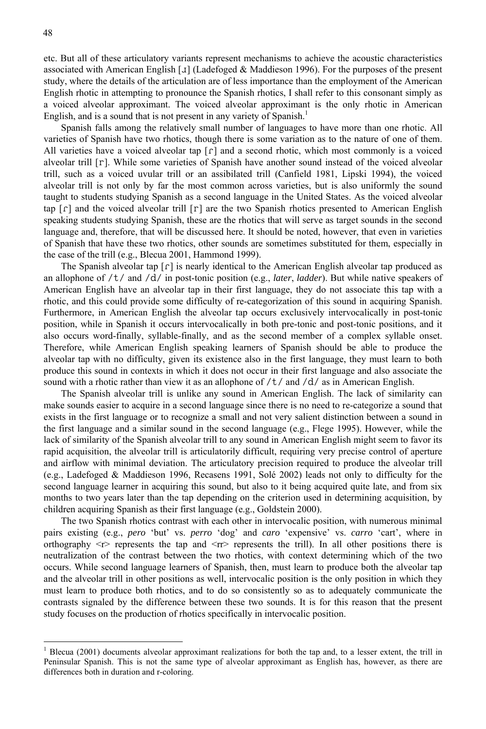<u>.</u>

etc. But all of these articulatory variants represent mechanisms to achieve the acoustic characteristics associated with American English [ $\mathfrak{I}$ ] (Ladefoged & Maddieson 1996). For the purposes of the present study, where the details of the articulation are of less importance than the employment of the American English rhotic in attempting to pronounce the Spanish rhotics, I shall refer to this consonant simply as a voiced alveolar approximant. The voiced alveolar approximant is the only rhotic in American English, and is a sound that is not present in any variety of Spanish.<sup>1</sup>

 Spanish falls among the relatively small number of languages to have more than one rhotic. All varieties of Spanish have two rhotics, though there is some variation as to the nature of one of them. All varieties have a voiced alveolar tap  $\lceil \mathbf{r} \rceil$  and a second rhotic, which most commonly is a voiced alveolar trill [r]. While some varieties of Spanish have another sound instead of the voiced alveolar trill, such as a voiced uvular trill or an assibilated trill (Canfield 1981, Lipski 1994), the voiced alveolar trill is not only by far the most common across varieties, but is also uniformly the sound taught to students studying Spanish as a second language in the United States. As the voiced alveolar tap  $[\Gamma]$  and the voiced alveolar trill  $[\Gamma]$  are the two Spanish rhotics presented to American English speaking students studying Spanish, these are the rhotics that will serve as target sounds in the second language and, therefore, that will be discussed here. It should be noted, however, that even in varieties of Spanish that have these two rhotics, other sounds are sometimes substituted for them, especially in the case of the trill (e.g., Blecua 2001, Hammond 1999).

The Spanish alveolar tap  $\lceil \mathbf{r} \rceil$  is nearly identical to the American English alveolar tap produced as an allophone of /t/ and /d/ in post-tonic position (e.g., *later*, *ladder*). But while native speakers of American English have an alveolar tap in their first language, they do not associate this tap with a rhotic, and this could provide some difficulty of re-categorization of this sound in acquiring Spanish. Furthermore, in American English the alveolar tap occurs exclusively intervocalically in post-tonic position, while in Spanish it occurs intervocalically in both pre-tonic and post-tonic positions, and it also occurs word-finally, syllable-finally, and as the second member of a complex syllable onset. Therefore, while American English speaking learners of Spanish should be able to produce the alveolar tap with no difficulty, given its existence also in the first language, they must learn to both produce this sound in contexts in which it does not occur in their first language and also associate the sound with a rhotic rather than view it as an allophone of  $/t /$  and  $/d /$  as in American English.

 The Spanish alveolar trill is unlike any sound in American English. The lack of similarity can make sounds easier to acquire in a second language since there is no need to re-categorize a sound that exists in the first language or to recognize a small and not very salient distinction between a sound in the first language and a similar sound in the second language (e.g., Flege 1995). However, while the lack of similarity of the Spanish alveolar trill to any sound in American English might seem to favor its rapid acquisition, the alveolar trill is articulatorily difficult, requiring very precise control of aperture and airflow with minimal deviation. The articulatory precision required to produce the alveolar trill (e.g., Ladefoged & Maddieson 1996, Recasens 1991, Solé 2002) leads not only to difficulty for the second language learner in acquiring this sound, but also to it being acquired quite late, and from six months to two years later than the tap depending on the criterion used in determining acquisition, by children acquiring Spanish as their first language (e.g., Goldstein 2000).

 The two Spanish rhotics contrast with each other in intervocalic position, with numerous minimal pairs existing (e.g., *pero* 'but' vs. *perro* 'dog' and *caro* 'expensive' vs. *carro* 'cart', where in orthography  $\langle r \rangle$  represents the tap and  $\langle r \rangle$  represents the trill). In all other positions there is neutralization of the contrast between the two rhotics, with context determining which of the two occurs. While second language learners of Spanish, then, must learn to produce both the alveolar tap and the alveolar trill in other positions as well, intervocalic position is the only position in which they must learn to produce both rhotics, and to do so consistently so as to adequately communicate the contrasts signaled by the difference between these two sounds. It is for this reason that the present study focuses on the production of rhotics specifically in intervocalic position.

<sup>1</sup> Blecua (2001) documents alveolar approximant realizations for both the tap and, to a lesser extent, the trill in Peninsular Spanish. This is not the same type of alveolar approximant as English has, however, as there are differences both in duration and r-coloring.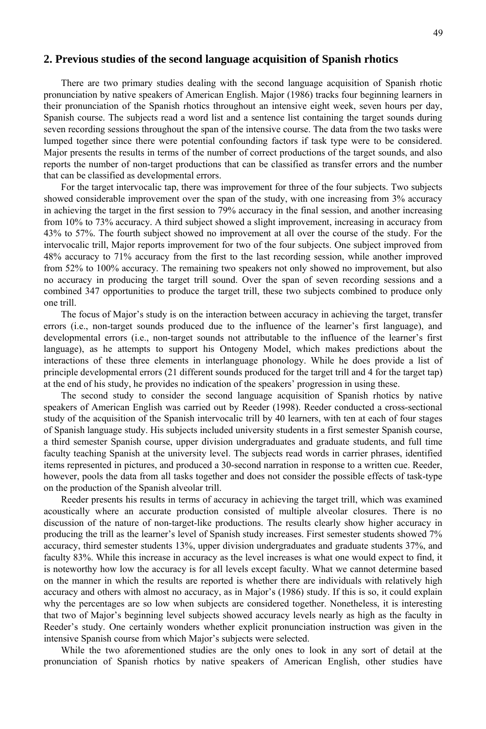#### **2. Previous studies of the second language acquisition of Spanish rhotics**

 There are two primary studies dealing with the second language acquisition of Spanish rhotic pronunciation by native speakers of American English. Major (1986) tracks four beginning learners in their pronunciation of the Spanish rhotics throughout an intensive eight week, seven hours per day, Spanish course. The subjects read a word list and a sentence list containing the target sounds during seven recording sessions throughout the span of the intensive course. The data from the two tasks were lumped together since there were potential confounding factors if task type were to be considered. Major presents the results in terms of the number of correct productions of the target sounds, and also reports the number of non-target productions that can be classified as transfer errors and the number that can be classified as developmental errors.

For the target intervocalic tap, there was improvement for three of the four subjects. Two subjects showed considerable improvement over the span of the study, with one increasing from 3% accuracy in achieving the target in the first session to 79% accuracy in the final session, and another increasing from 10% to 73% accuracy. A third subject showed a slight improvement, increasing in accuracy from 43% to 57%. The fourth subject showed no improvement at all over the course of the study. For the intervocalic trill, Major reports improvement for two of the four subjects. One subject improved from 48% accuracy to 71% accuracy from the first to the last recording session, while another improved from 52% to 100% accuracy. The remaining two speakers not only showed no improvement, but also no accuracy in producing the target trill sound. Over the span of seven recording sessions and a combined 347 opportunities to produce the target trill, these two subjects combined to produce only one trill.

 The focus of Major's study is on the interaction between accuracy in achieving the target, transfer errors (i.e., non-target sounds produced due to the influence of the learner's first language), and developmental errors (i.e., non-target sounds not attributable to the influence of the learner's first language), as he attempts to support his Ontogeny Model, which makes predictions about the interactions of these three elements in interlanguage phonology. While he does provide a list of principle developmental errors (21 different sounds produced for the target trill and 4 for the target tap) at the end of his study, he provides no indication of the speakers' progression in using these.

 The second study to consider the second language acquisition of Spanish rhotics by native speakers of American English was carried out by Reeder (1998). Reeder conducted a cross-sectional study of the acquisition of the Spanish intervocalic trill by 40 learners, with ten at each of four stages of Spanish language study. His subjects included university students in a first semester Spanish course, a third semester Spanish course, upper division undergraduates and graduate students, and full time faculty teaching Spanish at the university level. The subjects read words in carrier phrases, identified items represented in pictures, and produced a 30-second narration in response to a written cue. Reeder, however, pools the data from all tasks together and does not consider the possible effects of task-type on the production of the Spanish alveolar trill.

 Reeder presents his results in terms of accuracy in achieving the target trill, which was examined acoustically where an accurate production consisted of multiple alveolar closures. There is no discussion of the nature of non-target-like productions. The results clearly show higher accuracy in producing the trill as the learner's level of Spanish study increases. First semester students showed 7% accuracy, third semester students 13%, upper division undergraduates and graduate students 37%, and faculty 83%. While this increase in accuracy as the level increases is what one would expect to find, it is noteworthy how low the accuracy is for all levels except faculty. What we cannot determine based on the manner in which the results are reported is whether there are individuals with relatively high accuracy and others with almost no accuracy, as in Major's (1986) study. If this is so, it could explain why the percentages are so low when subjects are considered together. Nonetheless, it is interesting that two of Major's beginning level subjects showed accuracy levels nearly as high as the faculty in Reeder's study. One certainly wonders whether explicit pronunciation instruction was given in the intensive Spanish course from which Major's subjects were selected.

 While the two aforementioned studies are the only ones to look in any sort of detail at the pronunciation of Spanish rhotics by native speakers of American English, other studies have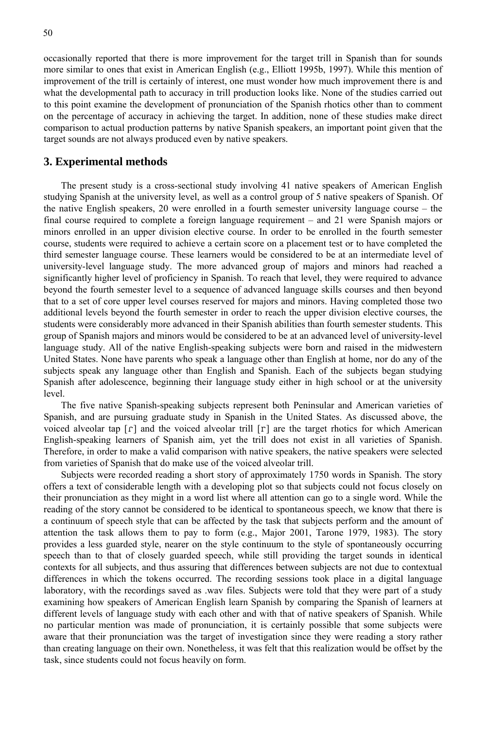occasionally reported that there is more improvement for the target trill in Spanish than for sounds more similar to ones that exist in American English (e.g., Elliott 1995b, 1997). While this mention of improvement of the trill is certainly of interest, one must wonder how much improvement there is and what the developmental path to accuracy in trill production looks like. None of the studies carried out to this point examine the development of pronunciation of the Spanish rhotics other than to comment on the percentage of accuracy in achieving the target. In addition, none of these studies make direct comparison to actual production patterns by native Spanish speakers, an important point given that the target sounds are not always produced even by native speakers.

#### **3. Experimental methods**

 The present study is a cross-sectional study involving 41 native speakers of American English studying Spanish at the university level, as well as a control group of 5 native speakers of Spanish. Of the native English speakers, 20 were enrolled in a fourth semester university language course – the final course required to complete a foreign language requirement – and 21 were Spanish majors or minors enrolled in an upper division elective course. In order to be enrolled in the fourth semester course, students were required to achieve a certain score on a placement test or to have completed the third semester language course. These learners would be considered to be at an intermediate level of university-level language study. The more advanced group of majors and minors had reached a significantly higher level of proficiency in Spanish. To reach that level, they were required to advance beyond the fourth semester level to a sequence of advanced language skills courses and then beyond that to a set of core upper level courses reserved for majors and minors. Having completed those two additional levels beyond the fourth semester in order to reach the upper division elective courses, the students were considerably more advanced in their Spanish abilities than fourth semester students. This group of Spanish majors and minors would be considered to be at an advanced level of university-level language study. All of the native English-speaking subjects were born and raised in the midwestern United States. None have parents who speak a language other than English at home, nor do any of the subjects speak any language other than English and Spanish. Each of the subjects began studying Spanish after adolescence, beginning their language study either in high school or at the university level.

The five native Spanish-speaking subjects represent both Peninsular and American varieties of Spanish, and are pursuing graduate study in Spanish in the United States. As discussed above, the voiced alveolar tap  $\lceil \mathbf{r} \rceil$  and the voiced alveolar trill  $\lceil \mathbf{r} \rceil$  are the target rhotics for which American English-speaking learners of Spanish aim, yet the trill does not exist in all varieties of Spanish. Therefore, in order to make a valid comparison with native speakers, the native speakers were selected from varieties of Spanish that do make use of the voiced alveolar trill.

 Subjects were recorded reading a short story of approximately 1750 words in Spanish. The story offers a text of considerable length with a developing plot so that subjects could not focus closely on their pronunciation as they might in a word list where all attention can go to a single word. While the reading of the story cannot be considered to be identical to spontaneous speech, we know that there is a continuum of speech style that can be affected by the task that subjects perform and the amount of attention the task allows them to pay to form (e.g., Major 2001, Tarone 1979, 1983). The story provides a less guarded style, nearer on the style continuum to the style of spontaneously occurring speech than to that of closely guarded speech, while still providing the target sounds in identical contexts for all subjects, and thus assuring that differences between subjects are not due to contextual differences in which the tokens occurred. The recording sessions took place in a digital language laboratory, with the recordings saved as .wav files. Subjects were told that they were part of a study examining how speakers of American English learn Spanish by comparing the Spanish of learners at different levels of language study with each other and with that of native speakers of Spanish. While no particular mention was made of pronunciation, it is certainly possible that some subjects were aware that their pronunciation was the target of investigation since they were reading a story rather than creating language on their own. Nonetheless, it was felt that this realization would be offset by the task, since students could not focus heavily on form.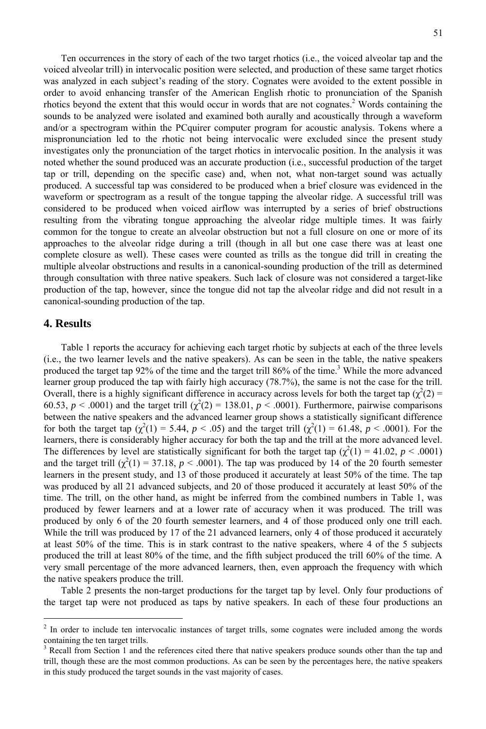Ten occurrences in the story of each of the two target rhotics (i.e., the voiced alveolar tap and the voiced alveolar trill) in intervocalic position were selected, and production of these same target rhotics was analyzed in each subject's reading of the story. Cognates were avoided to the extent possible in order to avoid enhancing transfer of the American English rhotic to pronunciation of the Spanish rhotics beyond the extent that this would occur in words that are not cognates. $2$  Words containing the sounds to be analyzed were isolated and examined both aurally and acoustically through a waveform and/or a spectrogram within the PCquirer computer program for acoustic analysis. Tokens where a mispronunciation led to the rhotic not being intervocalic were excluded since the present study investigates only the pronunciation of the target rhotics in intervocalic position. In the analysis it was noted whether the sound produced was an accurate production (i.e., successful production of the target tap or trill, depending on the specific case) and, when not, what non-target sound was actually produced. A successful tap was considered to be produced when a brief closure was evidenced in the waveform or spectrogram as a result of the tongue tapping the alveolar ridge. A successful trill was considered to be produced when voiced airflow was interrupted by a series of brief obstructions resulting from the vibrating tongue approaching the alveolar ridge multiple times. It was fairly common for the tongue to create an alveolar obstruction but not a full closure on one or more of its approaches to the alveolar ridge during a trill (though in all but one case there was at least one complete closure as well). These cases were counted as trills as the tongue did trill in creating the multiple alveolar obstructions and results in a canonical-sounding production of the trill as determined through consultation with three native speakers. Such lack of closure was not considered a target-like production of the tap, however, since the tongue did not tap the alveolar ridge and did not result in a canonical-sounding production of the tap.

#### **4. Results**

<u>.</u>

 Table 1 reports the accuracy for achieving each target rhotic by subjects at each of the three levels (i.e., the two learner levels and the native speakers). As can be seen in the table, the native speakers produced the target tap 92% of the time and the target trill 86% of the time.<sup>3</sup> While the more advanced learner group produced the tap with fairly high accuracy (78.7%), the same is not the case for the trill. Overall, there is a highly significant difference in accuracy across levels for both the target tap  $(\chi^2(2)$  = 60.53,  $p < .0001$ ) and the target trill ( $\chi^2(2) = 138.01$ ,  $p < .0001$ ). Furthermore, pairwise comparisons between the native speakers and the advanced learner group shows a statistically significant difference for both the target tap  $(\chi^2(1) = 5.44, p < .05)$  and the target trill  $(\chi^2(1) = 61.48, p < .0001)$ . For the learners, there is considerably higher accuracy for both the tap and the trill at the more advanced level. The differences by level are statistically significant for both the target tap  $(\chi^2(1) = 41.02, p < .0001)$ and the target trill  $(\chi^2(1) = 37.18, p < .0001)$ . The tap was produced by 14 of the 20 fourth semester learners in the present study, and 13 of those produced it accurately at least 50% of the time. The tap was produced by all 21 advanced subjects, and 20 of those produced it accurately at least 50% of the time. The trill, on the other hand, as might be inferred from the combined numbers in Table 1, was produced by fewer learners and at a lower rate of accuracy when it was produced. The trill was produced by only 6 of the 20 fourth semester learners, and 4 of those produced only one trill each. While the trill was produced by 17 of the 21 advanced learners, only 4 of those produced it accurately at least 50% of the time. This is in stark contrast to the native speakers, where 4 of the 5 subjects produced the trill at least 80% of the time, and the fifth subject produced the trill 60% of the time. A very small percentage of the more advanced learners, then, even approach the frequency with which the native speakers produce the trill.

 Table 2 presents the non-target productions for the target tap by level. Only four productions of the target tap were not produced as taps by native speakers. In each of these four productions an

<sup>&</sup>lt;sup>2</sup> In order to include ten intervocalic instances of target trills, some cognates were included among the words containing the ten target trills.

<sup>3</sup> Recall from Section 1 and the references cited there that native speakers produce sounds other than the tap and trill, though these are the most common productions. As can be seen by the percentages here, the native speakers in this study produced the target sounds in the vast majority of cases.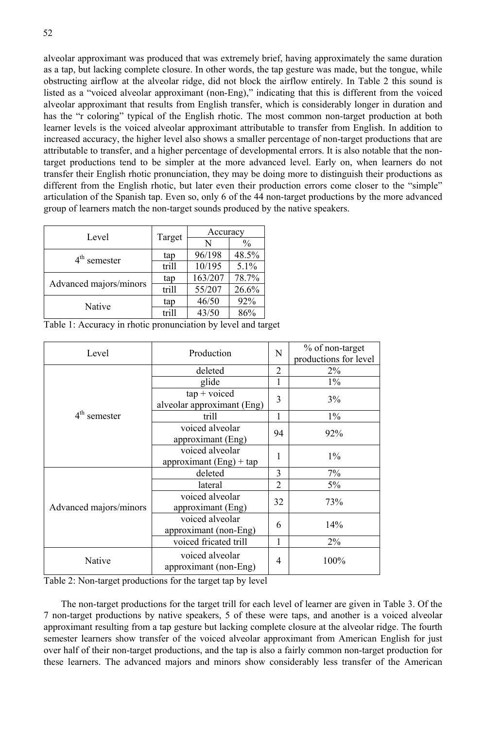alveolar approximant was produced that was extremely brief, having approximately the same duration as a tap, but lacking complete closure. In other words, the tap gesture was made, but the tongue, while obstructing airflow at the alveolar ridge, did not block the airflow entirely. In Table 2 this sound is listed as a "voiced alveolar approximant (non-Eng)," indicating that this is different from the voiced alveolar approximant that results from English transfer, which is considerably longer in duration and has the "r coloring" typical of the English rhotic. The most common non-target production at both learner levels is the voiced alveolar approximant attributable to transfer from English. In addition to increased accuracy, the higher level also shows a smaller percentage of non-target productions that are attributable to transfer, and a higher percentage of developmental errors. It is also notable that the nontarget productions tend to be simpler at the more advanced level. Early on, when learners do not transfer their English rhotic pronunciation, they may be doing more to distinguish their productions as different from the English rhotic, but later even their production errors come closer to the "simple" articulation of the Spanish tap. Even so, only 6 of the 44 non-target productions by the more advanced group of learners match the non-target sounds produced by the native speakers.

| Level                  |        | Accuracy |               |  |
|------------------------|--------|----------|---------------|--|
|                        | Target | N        | $\frac{0}{0}$ |  |
| $4th$ semester         | tap    | 96/198   | 48.5%         |  |
|                        | trill  | 10/195   | 5.1%          |  |
| Advanced majors/minors | tap    | 163/207  | 78.7%         |  |
|                        | trill  | 55/207   | 26.6%         |  |
| Native                 | tap    | 46/50    | 92%           |  |
|                        | trill  | 43/50    | 86%           |  |

Table 1: Accuracy in rhotic pronunciation by level and target

| Level                  | Production                                    | N              | % of non-target<br>productions for level |
|------------------------|-----------------------------------------------|----------------|------------------------------------------|
| $4th$ semester         | deleted                                       | $\overline{2}$ | $2\%$                                    |
|                        | glide                                         |                | $1\%$                                    |
|                        | $tap + voiceed$<br>alveolar approximant (Eng) | 3              | 3%                                       |
|                        | trill                                         | 1              | $1\%$                                    |
|                        | voiced alveolar<br>approximant (Eng)          | 94             | 92%                                      |
|                        | voiced alveolar<br>approximant $(Eng) + tap$  | 1              | $1\%$                                    |
| Advanced majors/minors | deleted                                       | 3              | 7%                                       |
|                        | lateral                                       | $\overline{2}$ | $5\%$                                    |
|                        | voiced alveolar<br>approximant (Eng)          | 32             | 73%                                      |
|                        | voiced alveolar<br>approximant (non-Eng)      | 6              | 14%                                      |
|                        | voiced fricated trill                         | 1              | $2\%$                                    |
| Native                 | voiced alveolar<br>approximant (non-Eng)      | 4              | 100%                                     |

Table 2: Non-target productions for the target tap by level

 The non-target productions for the target trill for each level of learner are given in Table 3. Of the 7 non-target productions by native speakers, 5 of these were taps, and another is a voiced alveolar approximant resulting from a tap gesture but lacking complete closure at the alveolar ridge. The fourth semester learners show transfer of the voiced alveolar approximant from American English for just over half of their non-target productions, and the tap is also a fairly common non-target production for these learners. The advanced majors and minors show considerably less transfer of the American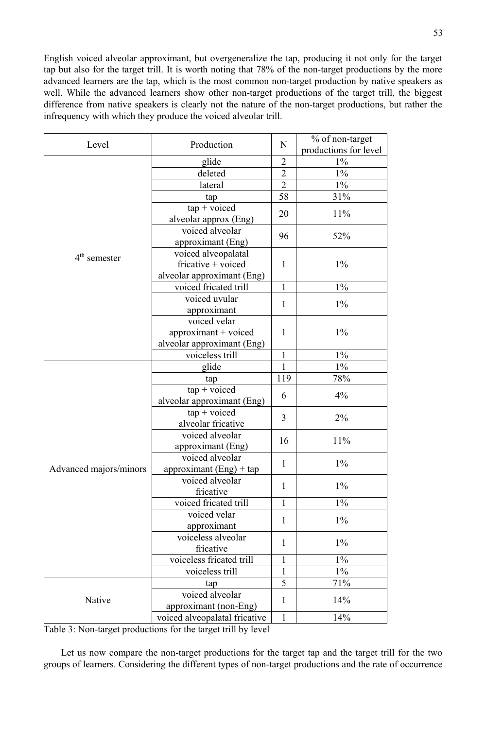English voiced alveolar approximant, but overgeneralize the tap, producing it not only for the target tap but also for the target trill. It is worth noting that 78% of the non-target productions by the more advanced learners are the tap, which is the most common non-target production by native speakers as well. While the advanced learners show other non-target productions of the target trill, the biggest difference from native speakers is clearly not the nature of the non-target productions, but rather the infrequency with which they produce the voiced alveolar trill.

| glide<br>$1\%$<br>$\overline{2}$<br>$\overline{2}$<br>$1\%$<br>deleted<br>$\overline{2}$<br>$\overline{1\%}$<br>lateral<br>58<br>31%<br>tap<br>$tap + voiceed$<br>20<br>11%<br>alveolar approx (Eng)<br>voiced alveolar<br>52%<br>96<br>approximant (Eng)<br>voiced alveopalatal<br>$4th$ semester<br>fricative + voiced<br>$1\%$<br>1<br>alveolar approximant (Eng)<br>$1\%$<br>voiced fricated trill<br>1<br>voiced uvular<br>$1\%$<br>$\mathbf{1}$<br>approximant<br>voiced velar<br>$1\%$<br>approximant + voiced<br>1<br>alveolar approximant (Eng)<br>$1\%$<br>voiceless trill<br>$\mathbf{1}$<br>$1\%$<br>glide<br>$\mathbf{1}$<br>78%<br>119<br>tap<br>$tan + voiceed$<br>6<br>4%<br>alveolar approximant (Eng)<br>$tan + voiceed$<br>3<br>2%<br>alveolar fricative<br>voiced alveolar<br>11%<br>16<br>approximant (Eng)<br>voiced alveolar<br>$1\%$<br>$\mathbf{1}$<br>Advanced majors/minors<br>approximant $(Eng) + tap$<br>voiced alveolar<br>$1\%$<br>1<br>fricative<br>$1\%$<br>voiced fricated trill<br>$\mathbf{1}$<br>voiced velar<br>$1\%$<br>$\mathbf{1}$<br>approximant<br>voiceless alveolar<br>$1\%$<br>1<br>fricative<br>voiceless fricated trill<br>$\mathbf{1}$<br>$1\%$<br>$\mathbf{1}$<br>$1\%$<br>voiceless trill<br>5<br>71%<br>tap<br>voiced alveolar<br>Native<br>14%<br>1<br>approximant (non-Eng) | Production<br>Level | N                             | % of non-target |                       |
|------------------------------------------------------------------------------------------------------------------------------------------------------------------------------------------------------------------------------------------------------------------------------------------------------------------------------------------------------------------------------------------------------------------------------------------------------------------------------------------------------------------------------------------------------------------------------------------------------------------------------------------------------------------------------------------------------------------------------------------------------------------------------------------------------------------------------------------------------------------------------------------------------------------------------------------------------------------------------------------------------------------------------------------------------------------------------------------------------------------------------------------------------------------------------------------------------------------------------------------------------------------------------------------------------------------------------------|---------------------|-------------------------------|-----------------|-----------------------|
|                                                                                                                                                                                                                                                                                                                                                                                                                                                                                                                                                                                                                                                                                                                                                                                                                                                                                                                                                                                                                                                                                                                                                                                                                                                                                                                                    |                     |                               |                 | productions for level |
|                                                                                                                                                                                                                                                                                                                                                                                                                                                                                                                                                                                                                                                                                                                                                                                                                                                                                                                                                                                                                                                                                                                                                                                                                                                                                                                                    |                     |                               |                 |                       |
|                                                                                                                                                                                                                                                                                                                                                                                                                                                                                                                                                                                                                                                                                                                                                                                                                                                                                                                                                                                                                                                                                                                                                                                                                                                                                                                                    |                     |                               |                 |                       |
|                                                                                                                                                                                                                                                                                                                                                                                                                                                                                                                                                                                                                                                                                                                                                                                                                                                                                                                                                                                                                                                                                                                                                                                                                                                                                                                                    |                     |                               |                 |                       |
|                                                                                                                                                                                                                                                                                                                                                                                                                                                                                                                                                                                                                                                                                                                                                                                                                                                                                                                                                                                                                                                                                                                                                                                                                                                                                                                                    |                     |                               |                 |                       |
|                                                                                                                                                                                                                                                                                                                                                                                                                                                                                                                                                                                                                                                                                                                                                                                                                                                                                                                                                                                                                                                                                                                                                                                                                                                                                                                                    |                     |                               |                 |                       |
|                                                                                                                                                                                                                                                                                                                                                                                                                                                                                                                                                                                                                                                                                                                                                                                                                                                                                                                                                                                                                                                                                                                                                                                                                                                                                                                                    |                     |                               |                 |                       |
|                                                                                                                                                                                                                                                                                                                                                                                                                                                                                                                                                                                                                                                                                                                                                                                                                                                                                                                                                                                                                                                                                                                                                                                                                                                                                                                                    |                     |                               |                 |                       |
|                                                                                                                                                                                                                                                                                                                                                                                                                                                                                                                                                                                                                                                                                                                                                                                                                                                                                                                                                                                                                                                                                                                                                                                                                                                                                                                                    |                     |                               |                 |                       |
|                                                                                                                                                                                                                                                                                                                                                                                                                                                                                                                                                                                                                                                                                                                                                                                                                                                                                                                                                                                                                                                                                                                                                                                                                                                                                                                                    |                     |                               |                 |                       |
|                                                                                                                                                                                                                                                                                                                                                                                                                                                                                                                                                                                                                                                                                                                                                                                                                                                                                                                                                                                                                                                                                                                                                                                                                                                                                                                                    |                     |                               |                 |                       |
|                                                                                                                                                                                                                                                                                                                                                                                                                                                                                                                                                                                                                                                                                                                                                                                                                                                                                                                                                                                                                                                                                                                                                                                                                                                                                                                                    |                     |                               |                 |                       |
|                                                                                                                                                                                                                                                                                                                                                                                                                                                                                                                                                                                                                                                                                                                                                                                                                                                                                                                                                                                                                                                                                                                                                                                                                                                                                                                                    |                     |                               |                 |                       |
|                                                                                                                                                                                                                                                                                                                                                                                                                                                                                                                                                                                                                                                                                                                                                                                                                                                                                                                                                                                                                                                                                                                                                                                                                                                                                                                                    |                     |                               |                 |                       |
|                                                                                                                                                                                                                                                                                                                                                                                                                                                                                                                                                                                                                                                                                                                                                                                                                                                                                                                                                                                                                                                                                                                                                                                                                                                                                                                                    |                     |                               |                 |                       |
|                                                                                                                                                                                                                                                                                                                                                                                                                                                                                                                                                                                                                                                                                                                                                                                                                                                                                                                                                                                                                                                                                                                                                                                                                                                                                                                                    |                     |                               |                 |                       |
|                                                                                                                                                                                                                                                                                                                                                                                                                                                                                                                                                                                                                                                                                                                                                                                                                                                                                                                                                                                                                                                                                                                                                                                                                                                                                                                                    |                     |                               |                 |                       |
|                                                                                                                                                                                                                                                                                                                                                                                                                                                                                                                                                                                                                                                                                                                                                                                                                                                                                                                                                                                                                                                                                                                                                                                                                                                                                                                                    |                     |                               |                 |                       |
|                                                                                                                                                                                                                                                                                                                                                                                                                                                                                                                                                                                                                                                                                                                                                                                                                                                                                                                                                                                                                                                                                                                                                                                                                                                                                                                                    |                     |                               |                 |                       |
|                                                                                                                                                                                                                                                                                                                                                                                                                                                                                                                                                                                                                                                                                                                                                                                                                                                                                                                                                                                                                                                                                                                                                                                                                                                                                                                                    |                     |                               |                 |                       |
|                                                                                                                                                                                                                                                                                                                                                                                                                                                                                                                                                                                                                                                                                                                                                                                                                                                                                                                                                                                                                                                                                                                                                                                                                                                                                                                                    |                     |                               |                 |                       |
|                                                                                                                                                                                                                                                                                                                                                                                                                                                                                                                                                                                                                                                                                                                                                                                                                                                                                                                                                                                                                                                                                                                                                                                                                                                                                                                                    |                     |                               |                 |                       |
|                                                                                                                                                                                                                                                                                                                                                                                                                                                                                                                                                                                                                                                                                                                                                                                                                                                                                                                                                                                                                                                                                                                                                                                                                                                                                                                                    |                     |                               |                 |                       |
|                                                                                                                                                                                                                                                                                                                                                                                                                                                                                                                                                                                                                                                                                                                                                                                                                                                                                                                                                                                                                                                                                                                                                                                                                                                                                                                                    |                     |                               |                 |                       |
|                                                                                                                                                                                                                                                                                                                                                                                                                                                                                                                                                                                                                                                                                                                                                                                                                                                                                                                                                                                                                                                                                                                                                                                                                                                                                                                                    |                     |                               |                 |                       |
|                                                                                                                                                                                                                                                                                                                                                                                                                                                                                                                                                                                                                                                                                                                                                                                                                                                                                                                                                                                                                                                                                                                                                                                                                                                                                                                                    |                     |                               |                 |                       |
|                                                                                                                                                                                                                                                                                                                                                                                                                                                                                                                                                                                                                                                                                                                                                                                                                                                                                                                                                                                                                                                                                                                                                                                                                                                                                                                                    |                     |                               |                 |                       |
|                                                                                                                                                                                                                                                                                                                                                                                                                                                                                                                                                                                                                                                                                                                                                                                                                                                                                                                                                                                                                                                                                                                                                                                                                                                                                                                                    |                     |                               |                 |                       |
|                                                                                                                                                                                                                                                                                                                                                                                                                                                                                                                                                                                                                                                                                                                                                                                                                                                                                                                                                                                                                                                                                                                                                                                                                                                                                                                                    |                     |                               |                 |                       |
|                                                                                                                                                                                                                                                                                                                                                                                                                                                                                                                                                                                                                                                                                                                                                                                                                                                                                                                                                                                                                                                                                                                                                                                                                                                                                                                                    |                     |                               |                 |                       |
|                                                                                                                                                                                                                                                                                                                                                                                                                                                                                                                                                                                                                                                                                                                                                                                                                                                                                                                                                                                                                                                                                                                                                                                                                                                                                                                                    |                     |                               |                 |                       |
|                                                                                                                                                                                                                                                                                                                                                                                                                                                                                                                                                                                                                                                                                                                                                                                                                                                                                                                                                                                                                                                                                                                                                                                                                                                                                                                                    |                     |                               |                 |                       |
|                                                                                                                                                                                                                                                                                                                                                                                                                                                                                                                                                                                                                                                                                                                                                                                                                                                                                                                                                                                                                                                                                                                                                                                                                                                                                                                                    |                     |                               |                 |                       |
|                                                                                                                                                                                                                                                                                                                                                                                                                                                                                                                                                                                                                                                                                                                                                                                                                                                                                                                                                                                                                                                                                                                                                                                                                                                                                                                                    |                     |                               |                 |                       |
|                                                                                                                                                                                                                                                                                                                                                                                                                                                                                                                                                                                                                                                                                                                                                                                                                                                                                                                                                                                                                                                                                                                                                                                                                                                                                                                                    |                     |                               |                 |                       |
|                                                                                                                                                                                                                                                                                                                                                                                                                                                                                                                                                                                                                                                                                                                                                                                                                                                                                                                                                                                                                                                                                                                                                                                                                                                                                                                                    |                     |                               |                 |                       |
|                                                                                                                                                                                                                                                                                                                                                                                                                                                                                                                                                                                                                                                                                                                                                                                                                                                                                                                                                                                                                                                                                                                                                                                                                                                                                                                                    |                     |                               |                 |                       |
|                                                                                                                                                                                                                                                                                                                                                                                                                                                                                                                                                                                                                                                                                                                                                                                                                                                                                                                                                                                                                                                                                                                                                                                                                                                                                                                                    |                     |                               |                 |                       |
|                                                                                                                                                                                                                                                                                                                                                                                                                                                                                                                                                                                                                                                                                                                                                                                                                                                                                                                                                                                                                                                                                                                                                                                                                                                                                                                                    |                     |                               |                 |                       |
|                                                                                                                                                                                                                                                                                                                                                                                                                                                                                                                                                                                                                                                                                                                                                                                                                                                                                                                                                                                                                                                                                                                                                                                                                                                                                                                                    |                     |                               |                 |                       |
|                                                                                                                                                                                                                                                                                                                                                                                                                                                                                                                                                                                                                                                                                                                                                                                                                                                                                                                                                                                                                                                                                                                                                                                                                                                                                                                                    |                     |                               |                 |                       |
|                                                                                                                                                                                                                                                                                                                                                                                                                                                                                                                                                                                                                                                                                                                                                                                                                                                                                                                                                                                                                                                                                                                                                                                                                                                                                                                                    |                     | voiced alveopalatal fricative | $\mathbf{1}$    | 14%                   |

Table 3: Non-target productions for the target trill by level

 Let us now compare the non-target productions for the target tap and the target trill for the two groups of learners. Considering the different types of non-target productions and the rate of occurrence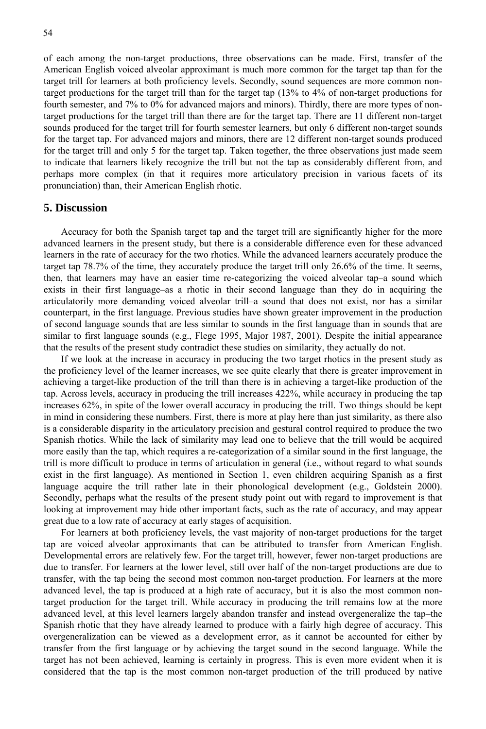of each among the non-target productions, three observations can be made. First, transfer of the American English voiced alveolar approximant is much more common for the target tap than for the target trill for learners at both proficiency levels. Secondly, sound sequences are more common nontarget productions for the target trill than for the target tap (13% to 4% of non-target productions for fourth semester, and 7% to 0% for advanced majors and minors). Thirdly, there are more types of nontarget productions for the target trill than there are for the target tap. There are 11 different non-target sounds produced for the target trill for fourth semester learners, but only 6 different non-target sounds for the target tap. For advanced majors and minors, there are 12 different non-target sounds produced for the target trill and only 5 for the target tap. Taken together, the three observations just made seem to indicate that learners likely recognize the trill but not the tap as considerably different from, and perhaps more complex (in that it requires more articulatory precision in various facets of its pronunciation) than, their American English rhotic.

#### **5. Discussion**

 Accuracy for both the Spanish target tap and the target trill are significantly higher for the more advanced learners in the present study, but there is a considerable difference even for these advanced learners in the rate of accuracy for the two rhotics. While the advanced learners accurately produce the target tap 78.7% of the time, they accurately produce the target trill only 26.6% of the time. It seems, then, that learners may have an easier time re-categorizing the voiced alveolar tap–a sound which exists in their first language–as a rhotic in their second language than they do in acquiring the articulatorily more demanding voiced alveolar trill–a sound that does not exist, nor has a similar counterpart, in the first language. Previous studies have shown greater improvement in the production of second language sounds that are less similar to sounds in the first language than in sounds that are similar to first language sounds (e.g., Flege 1995, Major 1987, 2001). Despite the initial appearance that the results of the present study contradict these studies on similarity, they actually do not.

If we look at the increase in accuracy in producing the two target rhotics in the present study as the proficiency level of the learner increases, we see quite clearly that there is greater improvement in achieving a target-like production of the trill than there is in achieving a target-like production of the tap. Across levels, accuracy in producing the trill increases 422%, while accuracy in producing the tap increases 62%, in spite of the lower overall accuracy in producing the trill. Two things should be kept in mind in considering these numbers. First, there is more at play here than just similarity, as there also is a considerable disparity in the articulatory precision and gestural control required to produce the two Spanish rhotics. While the lack of similarity may lead one to believe that the trill would be acquired more easily than the tap, which requires a re-categorization of a similar sound in the first language, the trill is more difficult to produce in terms of articulation in general (i.e., without regard to what sounds exist in the first language). As mentioned in Section 1, even children acquiring Spanish as a first language acquire the trill rather late in their phonological development (e.g., Goldstein 2000). Secondly, perhaps what the results of the present study point out with regard to improvement is that looking at improvement may hide other important facts, such as the rate of accuracy, and may appear great due to a low rate of accuracy at early stages of acquisition.

 For learners at both proficiency levels, the vast majority of non-target productions for the target tap are voiced alveolar approximants that can be attributed to transfer from American English. Developmental errors are relatively few. For the target trill, however, fewer non-target productions are due to transfer. For learners at the lower level, still over half of the non-target productions are due to transfer, with the tap being the second most common non-target production. For learners at the more advanced level, the tap is produced at a high rate of accuracy, but it is also the most common nontarget production for the target trill. While accuracy in producing the trill remains low at the more advanced level, at this level learners largely abandon transfer and instead overgeneralize the tap–the Spanish rhotic that they have already learned to produce with a fairly high degree of accuracy. This overgeneralization can be viewed as a development error, as it cannot be accounted for either by transfer from the first language or by achieving the target sound in the second language. While the target has not been achieved, learning is certainly in progress. This is even more evident when it is considered that the tap is the most common non-target production of the trill produced by native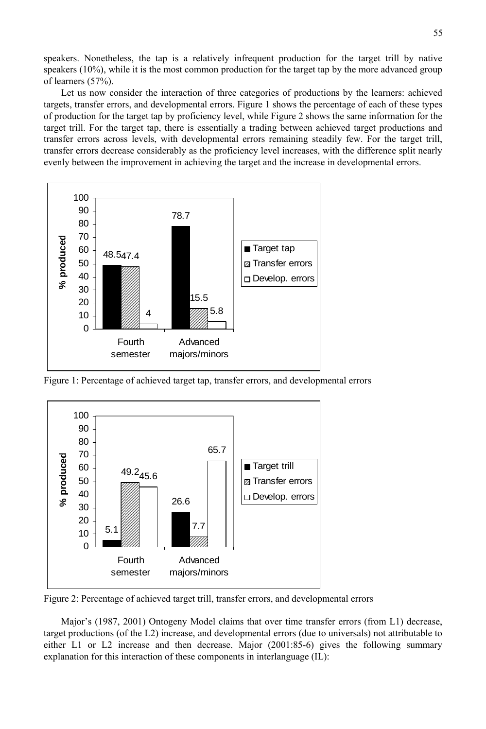speakers. Nonetheless, the tap is a relatively infrequent production for the target trill by native speakers (10%), while it is the most common production for the target tap by the more advanced group of learners (57%).

 Let us now consider the interaction of three categories of productions by the learners: achieved targets, transfer errors, and developmental errors. Figure 1 shows the percentage of each of these types of production for the target tap by proficiency level, while Figure 2 shows the same information for the target trill. For the target tap, there is essentially a trading between achieved target productions and transfer errors across levels, with developmental errors remaining steadily few. For the target trill, transfer errors decrease considerably as the proficiency level increases, with the difference split nearly evenly between the improvement in achieving the target and the increase in developmental errors.



Figure 1: Percentage of achieved target tap, transfer errors, and developmental errors



Figure 2: Percentage of achieved target trill, transfer errors, and developmental errors

 Major's (1987, 2001) Ontogeny Model claims that over time transfer errors (from L1) decrease, target productions (of the L2) increase, and developmental errors (due to universals) not attributable to either L1 or L2 increase and then decrease. Major (2001:85-6) gives the following summary explanation for this interaction of these components in interlanguage (IL):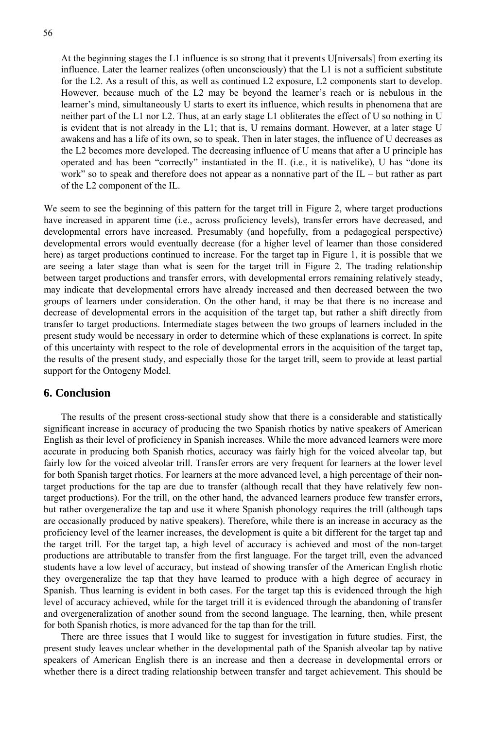56

At the beginning stages the L1 influence is so strong that it prevents U[niversals] from exerting its influence. Later the learner realizes (often unconsciously) that the L1 is not a sufficient substitute for the L2. As a result of this, as well as continued L2 exposure, L2 components start to develop. However, because much of the L2 may be beyond the learner's reach or is nebulous in the learner's mind, simultaneously U starts to exert its influence, which results in phenomena that are neither part of the L1 nor L2. Thus, at an early stage L1 obliterates the effect of U so nothing in U is evident that is not already in the L1; that is, U remains dormant. However, at a later stage U awakens and has a life of its own, so to speak. Then in later stages, the influence of U decreases as the L2 becomes more developed. The decreasing influence of U means that after a U principle has operated and has been "correctly" instantiated in the IL (i.e., it is nativelike), U has "done its work" so to speak and therefore does not appear as a nonnative part of the IL – but rather as part of the L2 component of the IL.

We seem to see the beginning of this pattern for the target trill in Figure 2, where target productions have increased in apparent time (i.e., across proficiency levels), transfer errors have decreased, and developmental errors have increased. Presumably (and hopefully, from a pedagogical perspective) developmental errors would eventually decrease (for a higher level of learner than those considered here) as target productions continued to increase. For the target tap in Figure 1, it is possible that we are seeing a later stage than what is seen for the target trill in Figure 2. The trading relationship between target productions and transfer errors, with developmental errors remaining relatively steady, may indicate that developmental errors have already increased and then decreased between the two groups of learners under consideration. On the other hand, it may be that there is no increase and decrease of developmental errors in the acquisition of the target tap, but rather a shift directly from transfer to target productions. Intermediate stages between the two groups of learners included in the present study would be necessary in order to determine which of these explanations is correct. In spite of this uncertainty with respect to the role of developmental errors in the acquisition of the target tap, the results of the present study, and especially those for the target trill, seem to provide at least partial support for the Ontogeny Model.

# **6. Conclusion**

 The results of the present cross-sectional study show that there is a considerable and statistically significant increase in accuracy of producing the two Spanish rhotics by native speakers of American English as their level of proficiency in Spanish increases. While the more advanced learners were more accurate in producing both Spanish rhotics, accuracy was fairly high for the voiced alveolar tap, but fairly low for the voiced alveolar trill. Transfer errors are very frequent for learners at the lower level for both Spanish target rhotics. For learners at the more advanced level, a high percentage of their nontarget productions for the tap are due to transfer (although recall that they have relatively few nontarget productions). For the trill, on the other hand, the advanced learners produce few transfer errors, but rather overgeneralize the tap and use it where Spanish phonology requires the trill (although taps are occasionally produced by native speakers). Therefore, while there is an increase in accuracy as the proficiency level of the learner increases, the development is quite a bit different for the target tap and the target trill. For the target tap, a high level of accuracy is achieved and most of the non-target productions are attributable to transfer from the first language. For the target trill, even the advanced students have a low level of accuracy, but instead of showing transfer of the American English rhotic they overgeneralize the tap that they have learned to produce with a high degree of accuracy in Spanish. Thus learning is evident in both cases. For the target tap this is evidenced through the high level of accuracy achieved, while for the target trill it is evidenced through the abandoning of transfer and overgeneralization of another sound from the second language. The learning, then, while present for both Spanish rhotics, is more advanced for the tap than for the trill.

 There are three issues that I would like to suggest for investigation in future studies. First, the present study leaves unclear whether in the developmental path of the Spanish alveolar tap by native speakers of American English there is an increase and then a decrease in developmental errors or whether there is a direct trading relationship between transfer and target achievement. This should be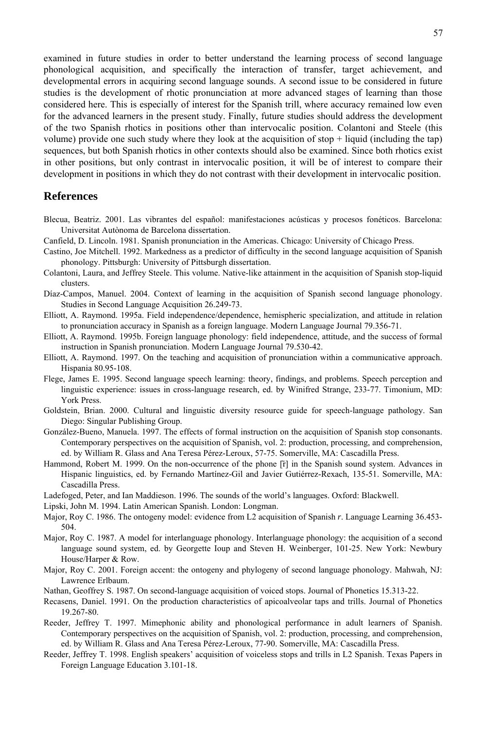examined in future studies in order to better understand the learning process of second language phonological acquisition, and specifically the interaction of transfer, target achievement, and developmental errors in acquiring second language sounds. A second issue to be considered in future studies is the development of rhotic pronunciation at more advanced stages of learning than those considered here. This is especially of interest for the Spanish trill, where accuracy remained low even for the advanced learners in the present study. Finally, future studies should address the development of the two Spanish rhotics in positions other than intervocalic position. Colantoni and Steele (this volume) provide one such study where they look at the acquisition of stop + liquid (including the tap) sequences, but both Spanish rhotics in other contexts should also be examined. Since both rhotics exist in other positions, but only contrast in intervocalic position, it will be of interest to compare their development in positions in which they do not contrast with their development in intervocalic position.

#### **References**

- Blecua, Beatriz. 2001. Las vibrantes del español: manifestaciones acústicas y procesos fonéticos. Barcelona: Universitat Autònoma de Barcelona dissertation.
- Canfield, D. Lincoln. 1981. Spanish pronunciation in the Americas. Chicago: University of Chicago Press.
- Castino, Joe Mitchell. 1992. Markedness as a predictor of difficulty in the second language acquisition of Spanish phonology. Pittsburgh: University of Pittsburgh dissertation.
- Colantoni, Laura, and Jeffrey Steele. This volume. Native-like attainment in the acquisition of Spanish stop-liquid clusters.
- Díaz-Campos, Manuel. 2004. Context of learning in the acquisition of Spanish second language phonology. Studies in Second Language Acquisition 26.249-73.
- Elliott, A. Raymond. 1995a. Field independence/dependence, hemispheric specialization, and attitude in relation to pronunciation accuracy in Spanish as a foreign language. Modern Language Journal 79.356-71.
- Elliott, A. Raymond. 1995b. Foreign language phonology: field independence, attitude, and the success of formal instruction in Spanish pronunciation. Modern Language Journal 79.530-42.
- Elliott, A. Raymond. 1997. On the teaching and acquisition of pronunciation within a communicative approach. Hispania 80.95-108.
- Flege, James E. 1995. Second language speech learning: theory, findings, and problems. Speech perception and linguistic experience: issues in cross-language research, ed. by Winifred Strange, 233-77. Timonium, MD: York Press.
- Goldstein, Brian. 2000. Cultural and linguistic diversity resource guide for speech-language pathology. San Diego: Singular Publishing Group.
- González-Bueno, Manuela. 1997. The effects of formal instruction on the acquisition of Spanish stop consonants. Contemporary perspectives on the acquisition of Spanish, vol. 2: production, processing, and comprehension, ed. by William R. Glass and Ana Teresa Pérez-Leroux, 57-75. Somerville, MA: Cascadilla Press.
- Hammond, Robert M. 1999. On the non-occurrence of the phone [r̃] in the Spanish sound system. Advances in Hispanic linguistics, ed. by Fernando Martínez-Gil and Javier Gutiérrez-Rexach, 135-51. Somerville, MA: Cascadilla Press.
- Ladefoged, Peter, and Ian Maddieson. 1996. The sounds of the world's languages. Oxford: Blackwell.
- Lipski, John M. 1994. Latin American Spanish. London: Longman.
- Major, Roy C. 1986. The ontogeny model: evidence from L2 acquisition of Spanish *r*. Language Learning 36.453- 504.
- Major, Roy C. 1987. A model for interlanguage phonology. Interlanguage phonology: the acquisition of a second language sound system, ed. by Georgette Ioup and Steven H. Weinberger, 101-25. New York: Newbury House/Harper & Row.
- Major, Roy C. 2001. Foreign accent: the ontogeny and phylogeny of second language phonology. Mahwah, NJ: Lawrence Erlbaum.
- Nathan, Geoffrey S. 1987. On second-language acquisition of voiced stops. Journal of Phonetics 15.313-22.
- Recasens, Daniel. 1991. On the production characteristics of apicoalveolar taps and trills. Journal of Phonetics 19.267-80.
- Reeder, Jeffrey T. 1997. Mimephonic ability and phonological performance in adult learners of Spanish. Contemporary perspectives on the acquisition of Spanish, vol. 2: production, processing, and comprehension, ed. by William R. Glass and Ana Teresa Pérez-Leroux, 77-90. Somerville, MA: Cascadilla Press.
- Reeder, Jeffrey T. 1998. English speakers' acquisition of voiceless stops and trills in L2 Spanish. Texas Papers in Foreign Language Education 3.101-18.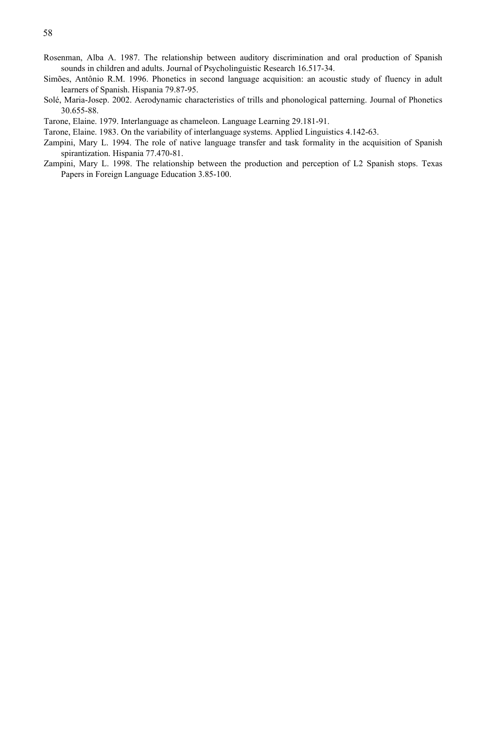- Rosenman, Alba A. 1987. The relationship between auditory discrimination and oral production of Spanish sounds in children and adults. Journal of Psycholinguistic Research 16.517-34.
- Simões, Antônio R.M. 1996. Phonetics in second language acquisition: an acoustic study of fluency in adult learners of Spanish. Hispania 79.87-95.
- Solé, Maria-Josep. 2002. Aerodynamic characteristics of trills and phonological patterning. Journal of Phonetics 30.655-88.
- Tarone, Elaine. 1979. Interlanguage as chameleon. Language Learning 29.181-91.
- Tarone, Elaine. 1983. On the variability of interlanguage systems. Applied Linguistics 4.142-63.
- Zampini, Mary L. 1994. The role of native language transfer and task formality in the acquisition of Spanish spirantization. Hispania 77.470-81.
- Zampini, Mary L. 1998. The relationship between the production and perception of L2 Spanish stops. Texas Papers in Foreign Language Education 3.85-100.